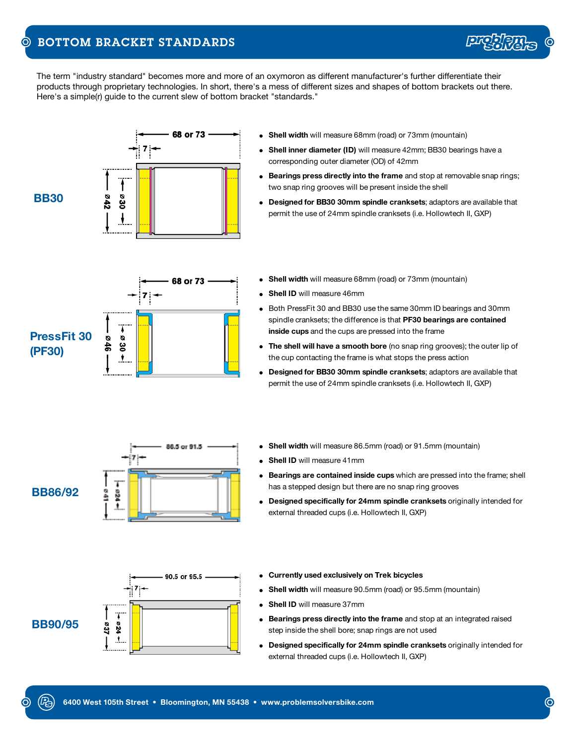## BOTTOM BRACKET STANDARDS  $\odot$

The term "industry standard" becomes more and more of an oxymoron as different manufacturer's further differentiate their products through proprietary technologies. In short, there's a mess of different sizes and shapes of bottom brackets out there. Here's a simple(r) guide to the current slew of bottom bracket "standards."





- **Shell width** will measure 86.5mm (road) or 91.5mm (mountain)
- **Shell ID** will measure 41mm
- **Bearings are contained inside cups** which are pressed into the frame; shell has a stepped design but there are no snap ring grooves
- **Designed specifically for 24mm spindle cranksets** originally intended for external threaded cups (i.e. Hollowtech II, GXP)



**BB86/92**



- **Currently used exclusively on Trek bicycles**
- **Shell width** will measure 90.5mm (road) or 95.5mm (mountain)
- **Shell ID** will measure 37mm
- **Bearings press directly into the frame** and stop at an integrated raised step inside the shell bore; snap rings are not used
- **Designed specifically for 24mm spindle cranksets** originally intended for external threaded cups (i.e. Hollowtech II, GXP)